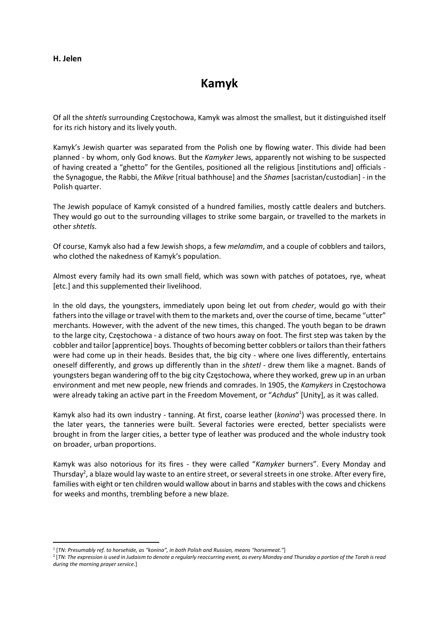## H. Jelen

## Kamyk

Of all the shtetls surrounding Częstochowa, Kamyk was almost the smallest, but it distinguished itself for its rich history and its lively youth.

Kamyk's Jewish quarter was separated from the Polish one by flowing water. This divide had been planned - by whom, only God knows. But the Kamyker Jews, apparently not wishing to be suspected of having created a "ghetto" for the Gentiles, positioned all the religious [institutions and] officials the Synagogue, the Rabbi, the Mikve [ritual bathhouse] and the Shames [sacristan/custodian] - in the Polish quarter.

The Jewish populace of Kamyk consisted of a hundred families, mostly cattle dealers and butchers. They would go out to the surrounding villages to strike some bargain, or travelled to the markets in other shtetls.

Of course, Kamyk also had a few Jewish shops, a few melamdim, and a couple of cobblers and tailors, who clothed the nakedness of Kamyk's population.

Almost every family had its own small field, which was sown with patches of potatoes, rye, wheat [etc.] and this supplemented their livelihood.

In the old days, the youngsters, immediately upon being let out from cheder, would go with their fathers into the village or travel with them to the markets and, over the course of time, became "utter" merchants. However, with the advent of the new times, this changed. The youth began to be drawn to the large city, Częstochowa - a distance of two hours away on foot. The first step was taken by the cobbler and tailor [apprentice] boys. Thoughts of becoming better cobblers or tailors than their fathers were had come up in their heads. Besides that, the big city - where one lives differently, entertains oneself differently, and grows up differently than in the shtetl - drew them like a magnet. Bands of youngsters began wandering off to the big city Częstochowa, where they worked, grew up in an urban environment and met new people, new friends and comrades. In 1905, the Kamykers in Czestochowa were already taking an active part in the Freedom Movement, or "Achdus" [Unity], as it was called.

Kamyk also had its own industry - tanning. At first, coarse leather (konina<sup>1</sup>) was processed there. In the later years, the tanneries were built. Several factories were erected, better specialists were brought in from the larger cities, a better type of leather was produced and the whole industry took on broader, urban proportions.

Kamyk was also notorious for its fires - they were called "Kamyker burners". Every Monday and Thursday<sup>2</sup>, a blaze would lay waste to an entire street, or several streets in one stroke. After every fire, families with eight or ten children would wallow about in barns and stables with the cows and chickens for weeks and months, trembling before a new blaze.

<sup>1</sup> [TN: Presumably ref. to horsehide, as "konina", in both Polish and Russian, means "horsemeat."]

<sup>2</sup> [TN: The expression is used in Judaism to denote a regularly reoccurring event, as every Monday and Thursday a portion of the Torah is read during the morning prayer service.]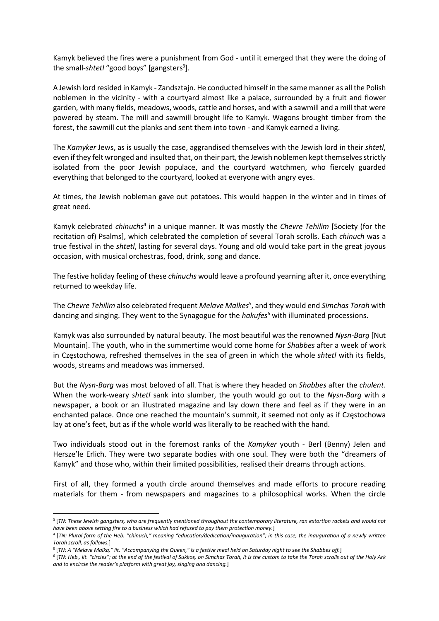Kamyk believed the fires were a punishment from God - until it emerged that they were the doing of the small-shtetl "good boys" [gangsters<sup>3</sup>].

A Jewish lord resided in Kamyk - Zandsztajn. He conducted himself in the same manner as all the Polish noblemen in the vicinity - with a courtyard almost like a palace, surrounded by a fruit and flower garden, with many fields, meadows, woods, cattle and horses, and with a sawmill and a mill that were powered by steam. The mill and sawmill brought life to Kamyk. Wagons brought timber from the forest, the sawmill cut the planks and sent them into town - and Kamyk earned a living.

The Kamyker Jews, as is usually the case, aggrandised themselves with the Jewish lord in their shtetl, even if they felt wronged and insulted that, on their part, the Jewish noblemen kept themselves strictly isolated from the poor Jewish populace, and the courtyard watchmen, who fiercely guarded everything that belonged to the courtyard, looked at everyone with angry eyes.

At times, the Jewish nobleman gave out potatoes. This would happen in the winter and in times of great need.

Kamyk celebrated chinuchs<sup>4</sup> in a unique manner. It was mostly the Chevre Tehilim [Society (for the recitation of) Psalms], which celebrated the completion of several Torah scrolls. Each chinuch was a true festival in the shtetl, lasting for several days. Young and old would take part in the great joyous occasion, with musical orchestras, food, drink, song and dance.

The festive holiday feeling of these *chinuchs* would leave a profound yearning after it, once everything returned to weekday life.

The Chevre Tehilim also celebrated frequent Melave Malkes<sup>5</sup>, and they would end Simchas Torah with dancing and singing. They went to the Synagogue for the *hakufes*<sup>6</sup> with illuminated processions.

Kamyk was also surrounded by natural beauty. The most beautiful was the renowned Nysn-Barg [Nut Mountain]. The youth, who in the summertime would come home for *Shabbes* after a week of work in Częstochowa, refreshed themselves in the sea of green in which the whole shtetl with its fields, woods, streams and meadows was immersed.

But the Nysn-Barg was most beloved of all. That is where they headed on Shabbes after the chulent. When the work-weary shtetl sank into slumber, the youth would go out to the Nysn-Barg with a newspaper, a book or an illustrated magazine and lay down there and feel as if they were in an enchanted palace. Once one reached the mountain's summit, it seemed not only as if Częstochowa lay at one's feet, but as if the whole world was literally to be reached with the hand.

Two individuals stood out in the foremost ranks of the Kamyker youth - Berl (Benny) Jelen and Hersze'le Erlich. They were two separate bodies with one soul. They were both the "dreamers of Kamyk" and those who, within their limited possibilities, realised their dreams through actions.

First of all, they formed a youth circle around themselves and made efforts to procure reading materials for them - from newspapers and magazines to a philosophical works. When the circle

<sup>3</sup> [TN: These Jewish gangsters, who are frequently mentioned throughout the contemporary literature, ran extortion rackets and would not have been above setting fire to a business which had refused to pay them protection money.]

<sup>4</sup> [TN: Plural form of the Heb. "chinuch," meaning "education/dedication/inauguration"; in this case, the inauguration of a newly-written Torah scroll, as follows.]

<sup>5</sup> [TN: A "Melave Malka," lit. "Accompanying the Queen," is a festive meal held on Saturday night to see the Shabbes off.]

<sup>6</sup> [TN: Heb., lit. "circles"; at the end of the festival of Sukkos, on Simchas Torah, it is the custom to take the Torah scrolls out of the Holy Ark and to encircle the reader's platform with great joy, singing and dancing.]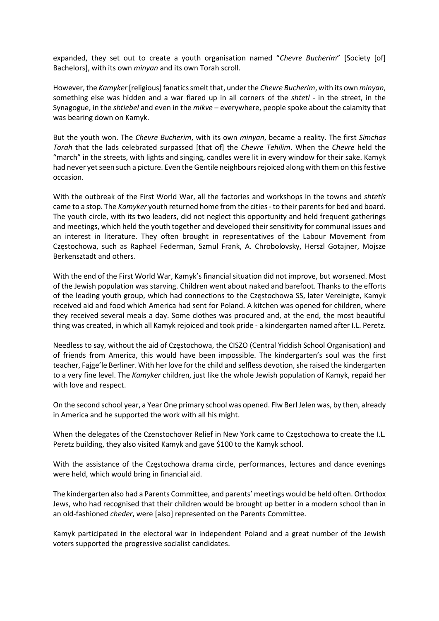expanded, they set out to create a youth organisation named "Chevre Bucherim" [Society [of] Bachelors], with its own minyan and its own Torah scroll.

However, the Kamyker [religious] fanatics smelt that, under the Chevre Bucherim, with its own minyan, something else was hidden and a war flared up in all corners of the shtetl - in the street, in the Synagogue, in the shtiebel and even in the mikve – everywhere, people spoke about the calamity that was bearing down on Kamyk.

But the youth won. The Chevre Bucherim, with its own minyan, became a reality. The first Simchas Torah that the lads celebrated surpassed [that of] the Chevre Tehilim. When the Chevre held the "march" in the streets, with lights and singing, candles were lit in every window for their sake. Kamyk had never yet seen such a picture. Even the Gentile neighbours rejoiced along with them on this festive occasion.

With the outbreak of the First World War, all the factories and workshops in the towns and shtetls came to a stop. The Kamyker youth returned home from the cities - to their parents for bed and board. The youth circle, with its two leaders, did not neglect this opportunity and held frequent gatherings and meetings, which held the youth together and developed their sensitivity for communal issues and an interest in literature. They often brought in representatives of the Labour Movement from Częstochowa, such as Raphael Federman, Szmul Frank, A. Chrobolovsky, Herszl Gotajner, Mojsze Berkensztadt and others.

With the end of the First World War, Kamyk's financial situation did not improve, but worsened. Most of the Jewish population was starving. Children went about naked and barefoot. Thanks to the efforts of the leading youth group, which had connections to the Częstochowa SS, later Vereinigte, Kamyk received aid and food which America had sent for Poland. A kitchen was opened for children, where they received several meals a day. Some clothes was procured and, at the end, the most beautiful thing was created, in which all Kamyk rejoiced and took pride - a kindergarten named after I.L. Peretz.

Needless to say, without the aid of Częstochowa, the CISZO (Central Yiddish School Organisation) and of friends from America, this would have been impossible. The kindergarten's soul was the first teacher, Fajge'le Berliner. With her love for the child and selfless devotion, she raised the kindergarten to a very fine level. The Kamyker children, just like the whole Jewish population of Kamyk, repaid her with love and respect.

On the second school year, a Year One primary school was opened. Flw Berl Jelen was, by then, already in America and he supported the work with all his might.

When the delegates of the Czenstochover Relief in New York came to Częstochowa to create the I.L. Peretz building, they also visited Kamyk and gave \$100 to the Kamyk school.

With the assistance of the Częstochowa drama circle, performances, lectures and dance evenings were held, which would bring in financial aid.

The kindergarten also had a Parents Committee, and parents' meetings would be held often. Orthodox Jews, who had recognised that their children would be brought up better in a modern school than in an old-fashioned cheder, were [also] represented on the Parents Committee.

Kamyk participated in the electoral war in independent Poland and a great number of the Jewish voters supported the progressive socialist candidates.